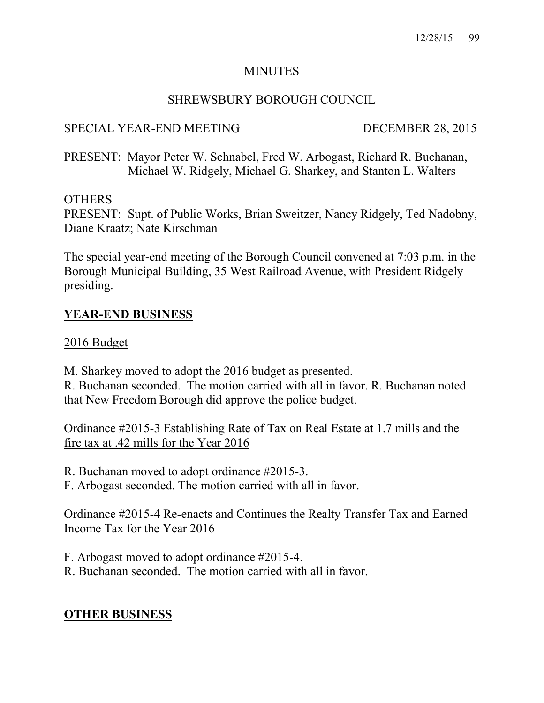#### MINUTES

## SHREWSBURY BOROUGH COUNCIL

## SPECIAL YEAR-END MEETING DECEMBER 28, 2015

PRESENT: Mayor Peter W. Schnabel, Fred W. Arbogast, Richard R. Buchanan, Michael W. Ridgely, Michael G. Sharkey, and Stanton L. Walters

#### **OTHERS**

PRESENT: Supt. of Public Works, Brian Sweitzer, Nancy Ridgely, Ted Nadobny, Diane Kraatz; Nate Kirschman

The special year-end meeting of the Borough Council convened at 7:03 p.m. in the Borough Municipal Building, 35 West Railroad Avenue, with President Ridgely presiding.

# YEAR-END BUSINESS

#### 2016 Budget

M. Sharkey moved to adopt the 2016 budget as presented. R. Buchanan seconded. The motion carried with all in favor. R. Buchanan noted

that New Freedom Borough did approve the police budget.

Ordinance #2015-3 Establishing Rate of Tax on Real Estate at 1.7 mills and the fire tax at .42 mills for the Year 2016

R. Buchanan moved to adopt ordinance #2015-3.

F. Arbogast seconded. The motion carried with all in favor.

Ordinance #2015-4 Re-enacts and Continues the Realty Transfer Tax and Earned Income Tax for the Year 2016

F. Arbogast moved to adopt ordinance #2015-4.

R. Buchanan seconded. The motion carried with all in favor.

# OTHER BUSINESS